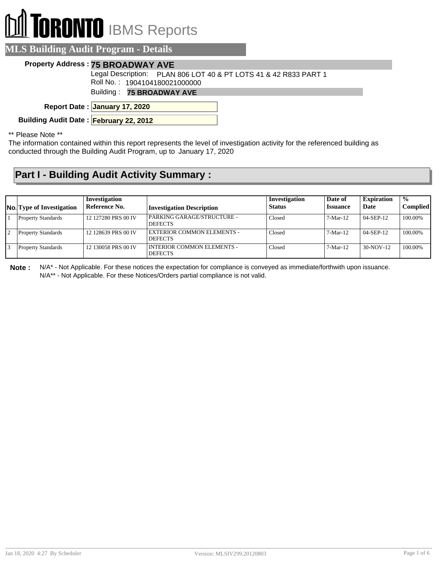# **DRONTO** IBMS Reports

|  | <b>MLS Building Audit Program - Details</b> |  |
|--|---------------------------------------------|--|
|  |                                             |  |

#### **Property Address : 75 BROADWAY AVE**

Legal Description: PLAN 806 LOT 40 & PT LOTS 41 & 42 R833 PART 1

Roll No. : 1904104180021000000

Building : **75 BROADWAY AVE**

**January 17, 2020 Report Date :**

**Building Audit Date : February 22, 2012**

\*\* Please Note \*\*

The information contained within this report represents the level of investigation activity for the referenced building as conducted through the Building Audit Program, up to January 17, 2020

### **Part I - Building Audit Activity Summary :**

| <b>No.</b> Type of Investigation | Investigation<br>Reference No. | <b>Investigation Description</b>               | Investigation<br><b>Status</b> | Date of<br><b>Issuance</b> | <b>Expiration</b><br>Date | $\frac{1}{2}$<br><b>Complied</b> |
|----------------------------------|--------------------------------|------------------------------------------------|--------------------------------|----------------------------|---------------------------|----------------------------------|
| <b>Property Standards</b>        | 12 127280 PRS 00 IV            | PARKING GARAGE/STRUCTURE -<br><b>DEFECTS</b>   | Closed                         | $7-Mar-12$                 | $04-SEP-12$               | 100.00%                          |
| <b>Property Standards</b>        | 12 128639 PRS 00 IV            | EXTERIOR COMMON ELEMENTS -<br><b>DEFECTS</b>   | Closed                         | $7-Mar-12$                 | $04-SEP-12$               | 100.00%                          |
| <b>Property Standards</b>        | 12 130058 PRS 00 IV            | I INTERIOR COMMON ELEMENTS -<br><b>DEFECTS</b> | Closed                         | $7-Mar-12$                 | $30-NOV-12$               | 100.00%                          |

**Note :** N/A\* - Not Applicable. For these notices the expectation for compliance is conveyed as immediate/forthwith upon issuance. N/A\*\* - Not Applicable. For these Notices/Orders partial compliance is not valid.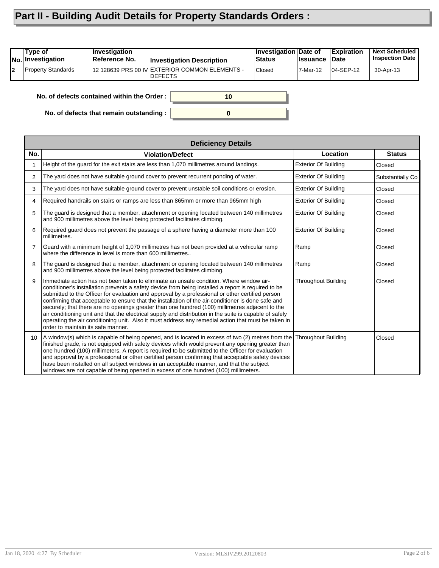## **Part II - Building Audit Details for Property Standards Orders :**

| 12 128639 PRS 00 IV EXTERIOR COMMON ELEMENTS -<br><b>Property Standards</b><br><b>Closed</b><br>$104-SEP-12$<br>l2<br>7-Mar-12<br>30-Apr-13 | Type of<br>No. Investigation | ∣Investiqation<br>⊺Reference No. | <b>Investigation Description</b> | Investigation Date of<br><b>Status</b> | <b>∣Issuance</b> | <b>Expiration</b><br>∣Date | <b>Next Scheduled</b><br><b>Inspection Date</b> |
|---------------------------------------------------------------------------------------------------------------------------------------------|------------------------------|----------------------------------|----------------------------------|----------------------------------------|------------------|----------------------------|-------------------------------------------------|
|                                                                                                                                             |                              |                                  | <b>DEFECTS</b>                   |                                        |                  |                            |                                                 |

**0**

**10**

**No. of defects contained within the Order :**

**No. of defects that remain outstanding :**

| <b>Deficiency Details</b> |                                                                                                                                                                                                                                                                                                                                                                                                                                                                                                                                                                                                                                                                                                                                                                     |                             |                  |  |  |
|---------------------------|---------------------------------------------------------------------------------------------------------------------------------------------------------------------------------------------------------------------------------------------------------------------------------------------------------------------------------------------------------------------------------------------------------------------------------------------------------------------------------------------------------------------------------------------------------------------------------------------------------------------------------------------------------------------------------------------------------------------------------------------------------------------|-----------------------------|------------------|--|--|
| No.                       | <b>Violation/Defect</b>                                                                                                                                                                                                                                                                                                                                                                                                                                                                                                                                                                                                                                                                                                                                             | Location                    | <b>Status</b>    |  |  |
|                           | Height of the guard for the exit stairs are less than 1,070 millimetres around landings.                                                                                                                                                                                                                                                                                                                                                                                                                                                                                                                                                                                                                                                                            | <b>Exterior Of Building</b> | Closed           |  |  |
| $\overline{2}$            | The yard does not have suitable ground cover to prevent recurrent ponding of water.                                                                                                                                                                                                                                                                                                                                                                                                                                                                                                                                                                                                                                                                                 | <b>Exterior Of Building</b> | Substantially Co |  |  |
| 3                         | The yard does not have suitable ground cover to prevent unstable soil conditions or erosion.                                                                                                                                                                                                                                                                                                                                                                                                                                                                                                                                                                                                                                                                        | <b>Exterior Of Building</b> | Closed           |  |  |
| 4                         | Required handrails on stairs or ramps are less than 865mm or more than 965mm high                                                                                                                                                                                                                                                                                                                                                                                                                                                                                                                                                                                                                                                                                   | <b>Exterior Of Building</b> | Closed           |  |  |
| 5                         | The guard is designed that a member, attachment or opening located between 140 millimetres<br>and 900 millimetres above the level being protected facilitates climbing.                                                                                                                                                                                                                                                                                                                                                                                                                                                                                                                                                                                             | <b>Exterior Of Building</b> | Closed           |  |  |
| 6                         | Required guard does not prevent the passage of a sphere having a diameter more than 100<br>millimetres.                                                                                                                                                                                                                                                                                                                                                                                                                                                                                                                                                                                                                                                             | <b>Exterior Of Building</b> | Closed           |  |  |
| $\overline{7}$            | Guard with a minimum height of 1,070 millimetres has not been provided at a vehicular ramp<br>where the difference in level is more than 600 millimetres                                                                                                                                                                                                                                                                                                                                                                                                                                                                                                                                                                                                            | Ramp                        | Closed           |  |  |
| 8                         | The guard is designed that a member, attachment or opening located between 140 millimetres<br>and 900 millimetres above the level being protected facilitates climbing.                                                                                                                                                                                                                                                                                                                                                                                                                                                                                                                                                                                             | Ramp                        | Closed           |  |  |
| 9                         | Immediate action has not been taken to eliminate an unsafe condition. Where window air-<br>conditioner's installation prevents a safety device from being installed a report is required to be<br>submitted to the Officer for evaluation and approval by a professional or other certified person<br>confirming that acceptable to ensure that the installation of the air-conditioner is done safe and<br>securely; that there are no openings greater than one hundred (100) millimetres adjacent to the<br>air conditioning unit and that the electrical supply and distribution in the suite is capable of safely<br>operating the air conditioning unit. Also it must address any remedial action that must be taken in<br>order to maintain its safe manner. | <b>Throughout Building</b>  | Closed           |  |  |
|                           | 10 A window(s) which is capable of being opened, and is located in excess of two (2) metres from the<br>finished grade, is not equipped with safety devices which would prevent any opening greater than<br>one hundred (100) millimeters. A report is required to be submitted to the Officer for evaluation<br>and approval by a professional or other certified person confirming that acceptable safety devices<br>have been installed on all subject windows in an acceptable manner, and that the subject<br>windows are not capable of being opened in excess of one hundred (100) millimeters.                                                                                                                                                              | Throughout Building         | Closed           |  |  |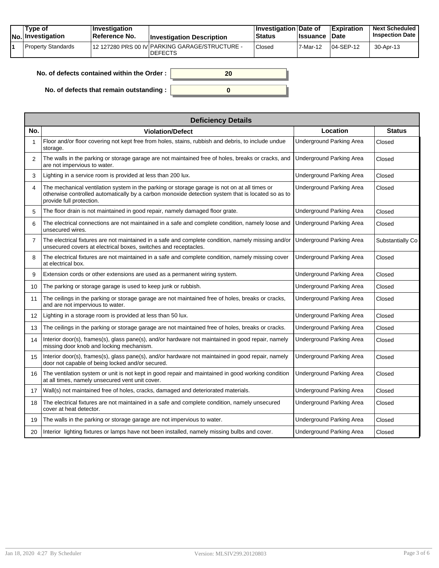| Tvpe of<br>No. Investigation | $\blacksquare$ Investigation<br>Reference No. | <b>Investigation Description</b>                                 | <b>Investigation Date of</b><br><b>Status</b> | <b>Issuance</b> | <b>Expiration</b><br>Date | <b>Next Scheduled</b><br><b>Inspection Date</b> |
|------------------------------|-----------------------------------------------|------------------------------------------------------------------|-----------------------------------------------|-----------------|---------------------------|-------------------------------------------------|
| Property Standards           |                                               | 12 127280 PRS 00 IV PARKING GARAGE/STRUCTURE -<br><b>DEFECTS</b> | <sup>'</sup> Closed                           | 7-Mar-12        | $104-SEP-12$              | 30-Apr-13                                       |

| No. of defects contained within the Order : $\vert$ |  |
|-----------------------------------------------------|--|
| No. of defects that remain outstanding :            |  |

| <b>Deficiency Details</b> |                                                                                                                                                                                                                               |                                 |                  |  |  |  |  |
|---------------------------|-------------------------------------------------------------------------------------------------------------------------------------------------------------------------------------------------------------------------------|---------------------------------|------------------|--|--|--|--|
| No.                       | <b>Violation/Defect</b>                                                                                                                                                                                                       | Location                        | <b>Status</b>    |  |  |  |  |
|                           | Floor and/or floor covering not kept free from holes, stains, rubbish and debris, to include undue<br>storage.                                                                                                                | Underground Parking Area        | Closed           |  |  |  |  |
| $\overline{2}$            | The walls in the parking or storage garage are not maintained free of holes, breaks or cracks, and<br>are not impervious to water.                                                                                            | <b>Underground Parking Area</b> | Closed           |  |  |  |  |
| 3                         | Lighting in a service room is provided at less than 200 lux.                                                                                                                                                                  | <b>Underground Parking Area</b> | Closed           |  |  |  |  |
| 4                         | The mechanical ventilation system in the parking or storage garage is not on at all times or<br>otherwise controlled automatically by a carbon monoxide detection system that is located so as to<br>provide full protection. | <b>Underground Parking Area</b> | Closed           |  |  |  |  |
| 5                         | The floor drain is not maintained in good repair, namely damaged floor grate.                                                                                                                                                 | <b>Underground Parking Area</b> | Closed           |  |  |  |  |
| 6                         | The electrical connections are not maintained in a safe and complete condition, namely loose and<br>unsecured wires.                                                                                                          | <b>Underground Parking Area</b> | Closed           |  |  |  |  |
| 7                         | The electrical fixtures are not maintained in a safe and complete condition, namely missing and/or<br>unsecured covers at electrical boxes, switches and receptacles.                                                         | <b>Underground Parking Area</b> | Substantially Co |  |  |  |  |
| 8                         | The electrical fixtures are not maintained in a safe and complete condition, namely missing cover<br>at electrical box.                                                                                                       | <b>Underground Parking Area</b> | Closed           |  |  |  |  |
| 9                         | Extension cords or other extensions are used as a permanent wiring system.                                                                                                                                                    | <b>Underground Parking Area</b> | Closed           |  |  |  |  |
| 10                        | The parking or storage garage is used to keep junk or rubbish.                                                                                                                                                                | <b>Underground Parking Area</b> | Closed           |  |  |  |  |
| 11                        | The ceilings in the parking or storage garage are not maintained free of holes, breaks or cracks,<br>and are not impervious to water.                                                                                         | <b>Underground Parking Area</b> | Closed           |  |  |  |  |
| 12                        | Lighting in a storage room is provided at less than 50 lux.                                                                                                                                                                   | <b>Underground Parking Area</b> | Closed           |  |  |  |  |
| 13                        | The ceilings in the parking or storage garage are not maintained free of holes, breaks or cracks.                                                                                                                             | <b>Underground Parking Area</b> | Closed           |  |  |  |  |
| 14                        | Interior door(s), frames(s), glass pane(s), and/or hardware not maintained in good repair, namely<br>missing door knob and locking mechanism.                                                                                 | <b>Underground Parking Area</b> | Closed           |  |  |  |  |
| 15                        | Interior door(s), frames(s), glass pane(s), and/or hardware not maintained in good repair, namely<br>door not capable of being locked and/or secured.                                                                         | <b>Underground Parking Area</b> | Closed           |  |  |  |  |
| 16                        | The ventilation system or unit is not kept in good repair and maintained in good working condition<br>at all times, namely unsecured vent unit cover.                                                                         | <b>Underground Parking Area</b> | Closed           |  |  |  |  |
| 17                        | Wall(s) not maintained free of holes, cracks, damaged and deteriorated materials.                                                                                                                                             | Underground Parking Area        | Closed           |  |  |  |  |
| 18                        | The electrical fixtures are not maintained in a safe and complete condition, namely unsecured<br>cover at heat detector.                                                                                                      | Underground Parking Area        | Closed           |  |  |  |  |
| 19                        | The walls in the parking or storage garage are not impervious to water.                                                                                                                                                       | Underground Parking Area        | Closed           |  |  |  |  |
| 20                        | Interior lighting fixtures or lamps have not been installed, namely missing bulbs and cover.                                                                                                                                  | <b>Underground Parking Area</b> | Closed           |  |  |  |  |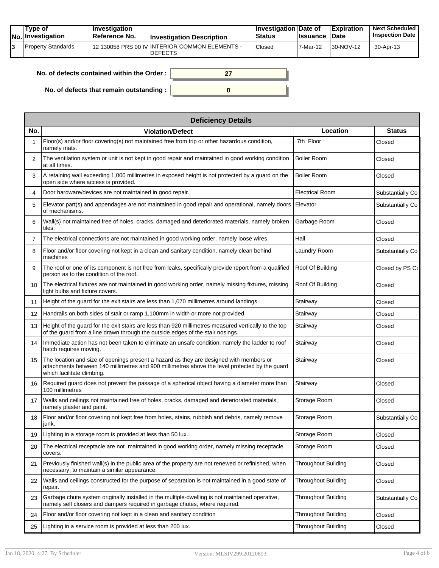| Tvpe of<br>No. Investigation | $\blacksquare$ Investigation<br>Reference No. | <b>Investigation Description</b>                                 | <b>∐nvestigation Date of</b><br><b>Status</b> | <b>Issuance</b> | <b>Expiration</b><br><b>Date</b> | <b>Next Scheduled</b><br><b>Inspection Date</b> |
|------------------------------|-----------------------------------------------|------------------------------------------------------------------|-----------------------------------------------|-----------------|----------------------------------|-------------------------------------------------|
| Property Standards           |                                               | 12 130058 PRS 00 IV INTERIOR COMMON ELEMENTS -<br><b>DEFECTS</b> | Closed                                        | 7-Mar-12        | 30-NOV-12                        | 30-Apr-13                                       |

| No. of defects contained within the Order : $\mid$ |  |
|----------------------------------------------------|--|
|                                                    |  |
| No. of defects that remain outstanding :           |  |

| <b>Deficiency Details</b> |                                                                                                                                                                                                                         |                            |                  |  |  |  |  |
|---------------------------|-------------------------------------------------------------------------------------------------------------------------------------------------------------------------------------------------------------------------|----------------------------|------------------|--|--|--|--|
| No.                       | <b>Violation/Defect</b>                                                                                                                                                                                                 | Location                   | <b>Status</b>    |  |  |  |  |
| 1                         | Floor(s) and/or floor covering(s) not maintained free from trip or other hazardous condition,<br>namely mats.                                                                                                           | 7th Floor                  | Closed           |  |  |  |  |
| 2                         | The ventilation system or unit is not kept in good repair and maintained in good working condition<br>at all times.                                                                                                     | <b>Boiler Room</b>         | Closed           |  |  |  |  |
| 3                         | A retaining wall exceeding 1,000 millimetres in exposed height is not protected by a guard on the<br>open side where access is provided.                                                                                | <b>Boiler Room</b>         | Closed           |  |  |  |  |
| 4                         | Door hardware/devices are not maintained in good repair.                                                                                                                                                                | <b>Electrical Room</b>     | Substantially Co |  |  |  |  |
| 5                         | Elevator part(s) and appendages are not maintained in good repair and operational, namely doors<br>of mechanisms.                                                                                                       | Elevator                   | Substantially Co |  |  |  |  |
| 6                         | Wall(s) not maintained free of holes, cracks, damaged and deteriorated materials, namely broken<br>tiles.                                                                                                               | Garbage Room               | Closed           |  |  |  |  |
| 7                         | The electrical connections are not maintained in good working order, namely loose wires.                                                                                                                                | Hall                       | Closed           |  |  |  |  |
| 8                         | Floor and/or floor covering not kept in a clean and sanitary condition, namely clean behind<br>machines                                                                                                                 | Laundry Room               | Substantially Co |  |  |  |  |
| 9                         | The roof or one of its component is not free from leaks, specifically provide report from a qualified<br>person as to the condition of the roof.                                                                        | Roof Of Building           | Closed by PS Co  |  |  |  |  |
| 10                        | The electrical fixtures are not maintained in good working order, namely missing fixtures, missing<br>light bulbs and fixture covers.                                                                                   | Roof Of Building           | Closed           |  |  |  |  |
| 11                        | Height of the guard for the exit stairs are less than 1,070 millimetres around landings.                                                                                                                                | Stairway                   | Closed           |  |  |  |  |
| 12                        | Handrails on both sides of stair or ramp 1,100mm in width or more not provided                                                                                                                                          | Stairway                   | Closed           |  |  |  |  |
| 13                        | Height of the guard for the exit stairs are less than 920 millimetres measured vertically to the top<br>of the guard from a line drawn through the outside edges of the stair nosings.                                  | Stairway                   | Closed           |  |  |  |  |
| 14                        | Immediate action has not been taken to eliminate an unsafe condition, namely the ladder to roof<br>hatch requires moving.                                                                                               | Stairway                   | Closed           |  |  |  |  |
| 15                        | The location and size of openings present a hazard as they are designed with members or<br>attachments between 140 millimetres and 900 millimetres above the level protected by the guard<br>which facilitate climbing. | Stairway                   | Closed           |  |  |  |  |
| 16                        | Required guard does not prevent the passage of a spherical object having a diameter more than<br>100 millimetres                                                                                                        | Stairway                   | Closed           |  |  |  |  |
| 17                        | Walls and ceilings not maintained free of holes, cracks, damaged and deteriorated materials,<br>namely plaster and paint.                                                                                               | Storage Room               | Closed           |  |  |  |  |
| 18                        | Floor and/or floor covering not kept free from holes, stains, rubbish and debris, namely remove<br>junk.                                                                                                                | Storage Room               | Substantially Co |  |  |  |  |
| 19                        | Lighting in a storage room is provided at less than 50 lux.                                                                                                                                                             | Storage Room               | Closed           |  |  |  |  |
| 20                        | The electrical receptacle are not maintained in good working order, namely missing receptacle<br>covers.                                                                                                                | Storage Room               | Closed           |  |  |  |  |
| 21                        | Previously finished wall(s) in the public area of the property are not renewed or refinished, when<br>necessary, to maintain a similar appearance.                                                                      | <b>Throughout Building</b> | Closed           |  |  |  |  |
| 22                        | Walls and ceilings constructed for the purpose of separation is not maintained in a good state of<br>repair.                                                                                                            | <b>Throughout Building</b> | Closed           |  |  |  |  |
| 23                        | Garbage chute system originally installed in the multiple-dwelling is not maintained operative,<br>namely self closers and dampers required in garbage chutes, where required.                                          | Throughout Building        | Substantially Co |  |  |  |  |
| 24                        | Floor and/or floor covering not kept in a clean and sanitary condition                                                                                                                                                  | Throughout Building        | Closed           |  |  |  |  |
| 25                        | Lighting in a service room is provided at less than 200 lux.                                                                                                                                                            | <b>Throughout Building</b> | Closed           |  |  |  |  |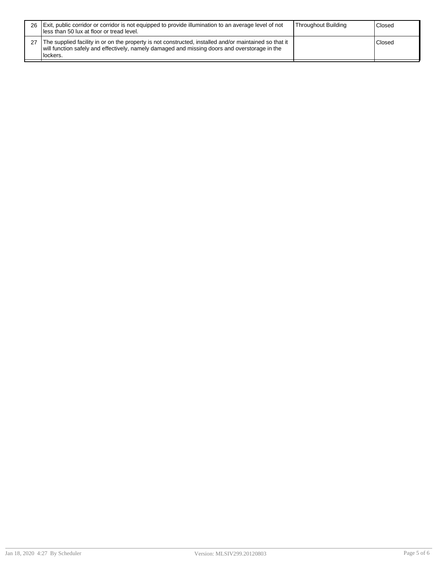| 26   Exit, public corridor or corridor is not equipped to provide illumination to an average level of not<br>Iless than 50 lux at floor or tread level.                                                             | Throughout Building | Closed |
|---------------------------------------------------------------------------------------------------------------------------------------------------------------------------------------------------------------------|---------------------|--------|
| The supplied facility in or on the property is not constructed, installed and/or maintained so that it<br>will function safely and effectively, namely damaged and missing doors and overstorage in the<br>lockers. |                     | Closed |